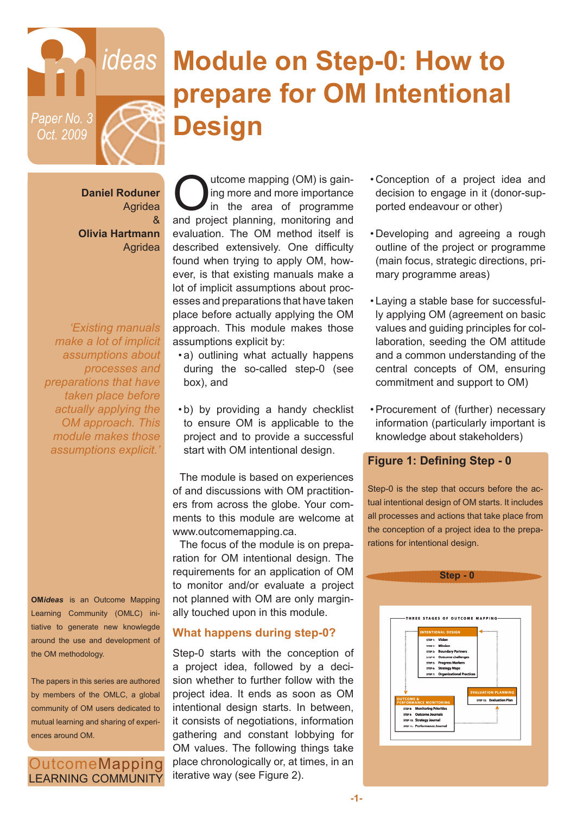

# **Module on Step-0: How to prepare for OM Intentional Design**

**Daniel Roduner** Agridea & **Olivia Hartmann** Agridea

*'Existing manuals make a lot of implicit assumptions about processes and preparations that have taken place before actually applying the OM approach. This module makes those assumptions explicit.'*

**OM***ideas* is an Outcome Mapping Learning Community (OMLC) initiative to generate new knowlegde around the use and development of the OM methodology.

The papers in this series are authored by members of the OMLC, a global community of OM users dedicated to mutual learning and sharing of experiences around OM.

OutcomeMapping **LEARNING COMMUNITY** 

Unit ome mapping (OM) is gain-<br>in g more and more importance<br>and project planning monitoring and ing more and more importance in the area of programme and project planning, monitoring and evaluation. The OM method itself is described extensively. One difficulty found when trying to apply OM, however, is that existing manuals make a lot of implicit assumptions about processes and preparations that have taken place before actually applying the OM approach. This module makes those assumptions explicit by:

- a) outlining what actually happens during the so-called step-0 (see box), and
- b) by providing a handy checklist to ensure OM is applicable to the project and to provide a successful start with OM intentional design.

The module is based on experiences of and discussions with OM practitioners from across the globe. Your comments to this module are welcome at www.outcomemapping.ca.

The focus of the module is on preparation for OM intentional design. The requirements for an application of OM to monitor and/or evaluate a project not planned with OM are only marginally touched upon in this module.

### **What happens during step-0?**

Step-0 starts with the conception of a project idea, followed by a decision whether to further follow with the project idea. It ends as soon as OM intentional design starts. In between, it consists of negotiations, information gathering and constant lobbying for OM values. The following things take place chronologically or, at times, in an iterative way (see Figure 2).

- Conception of a project idea and decision to engage in it (donor-supported endeavour or other)
- Developing and agreeing a rough outline of the project or programme (main focus, strategic directions, primary programme areas)
- Laying a stable base for successfully applying OM (agreement on basic values and guiding principles for collaboration, seeding the OM attitude and a common understanding of the central concepts of OM, ensuring commitment and support to OM)
- •Procurement of (further) necessary information (particularly important is knowledge about stakeholders)

#### **Figure 1: Defining Step - 0**

Step-0 is the step that occurs before the actual intentional design of OM starts. It includes all processes and actions that take place from the conception of a project idea to the preparations for intentional design.

|                      | Step - 0                                                  |  |
|----------------------|-----------------------------------------------------------|--|
|                      |                                                           |  |
|                      |                                                           |  |
|                      |                                                           |  |
|                      |                                                           |  |
|                      | THREE STAGES OF OUTCOME MAPPING-                          |  |
|                      |                                                           |  |
|                      | <br><b>INTENTIONAL DESIGN</b>                             |  |
|                      | STEP 1: Vision                                            |  |
|                      | STEP > Mission                                            |  |
|                      | STEP 3: Boundary Partners<br>STEP 4: Outcome challenges   |  |
|                      | STEP 5: Progress Markers                                  |  |
|                      | STEP 6: Strategy Maps                                     |  |
|                      | STEP 7: Organizational Practices                          |  |
|                      |                                                           |  |
|                      | <b>EVALUATION PLANNING</b>                                |  |
| <b>OUTCOME &amp;</b> | STEP 12: Evaluation Plan<br><b>PERFORMANCE MONITORING</b> |  |
|                      | STEP 8: Monitoring Priorities                             |  |
|                      | STEP 9: Outcome Journals                                  |  |
|                      | STEP 10: Strategy Journal<br>STEP 11: Performance Journal |  |
|                      |                                                           |  |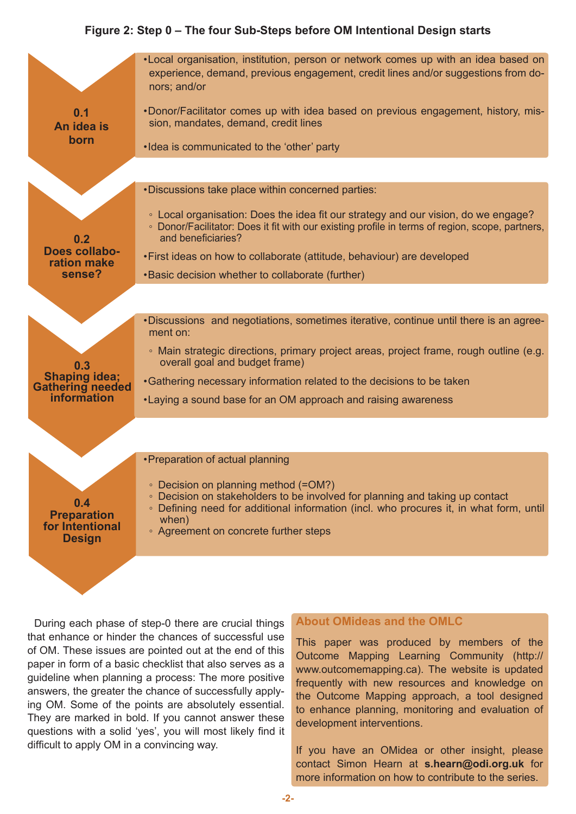### **Figure 2: Step 0 – The four Sub-Steps before OM Intentional Design starts**



During each phase of step-0 there are crucial things that enhance or hinder the chances of successful use of OM. These issues are pointed out at the end of this paper in form of a basic checklist that also serves as a guideline when planning a process: The more positive answers, the greater the chance of successfully applying OM. Some of the points are absolutely essential. They are marked in bold. If you cannot answer these questions with a solid 'yes', you will most likely find it difficult to apply OM in a convincing way.

#### **About OMideas and the OMLC**

This paper was produced by members of the Outcome Mapping Learning Community (http:// www.outcomemapping.ca). The website is updated frequently with new resources and knowledge on the Outcome Mapping approach, a tool designed to enhance planning, monitoring and evaluation of development interventions.

If you have an OMidea or other insight, please contact Simon Hearn at **s.hearn@odi.org.uk** for more information on how to contribute to the series.